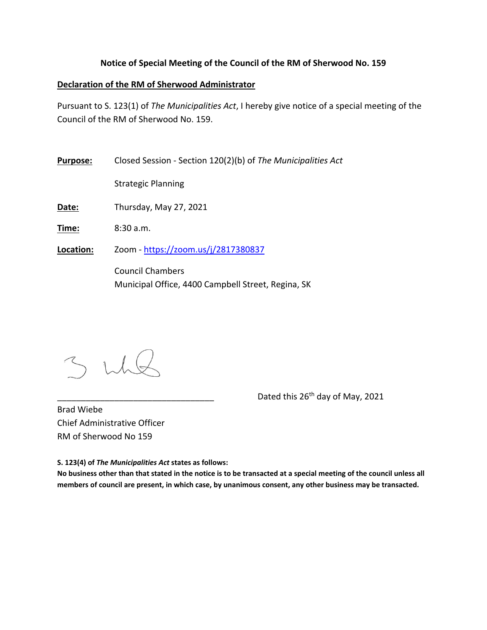## **Notice of Special Meeting of the Council of the RM of Sherwood No. 159**

## **Declaration of the RM of Sherwood Administrator**

Pursuant to S. 123(1) of *The Municipalities Act*, I hereby give notice of a special meeting of the Council of the RM of Sherwood No. 159.

**Purpose:** Closed Session ‐ Section 120(2)(b) of *The Municipalities Act*

Strategic Planning

**Date:** Thursday, May 27, 2021

**Time:** 8:30 a.m.

**Location:** Zoom ‐ https://zoom.us/j/2817380837

Council Chambers Municipal Office, 4400 Campbell Street, Regina, SK

Dated this 26<sup>th</sup> day of May, 2021

Brad Wiebe Chief Administrative Officer RM of Sherwood No 159

**S. 123(4) of** *The Municipalities Act* **states as follows:** 

**No business other than that stated in the notice is to be transacted at a special meeting of the council unless all members of council are present, in which case, by unanimous consent, any other business may be transacted.**